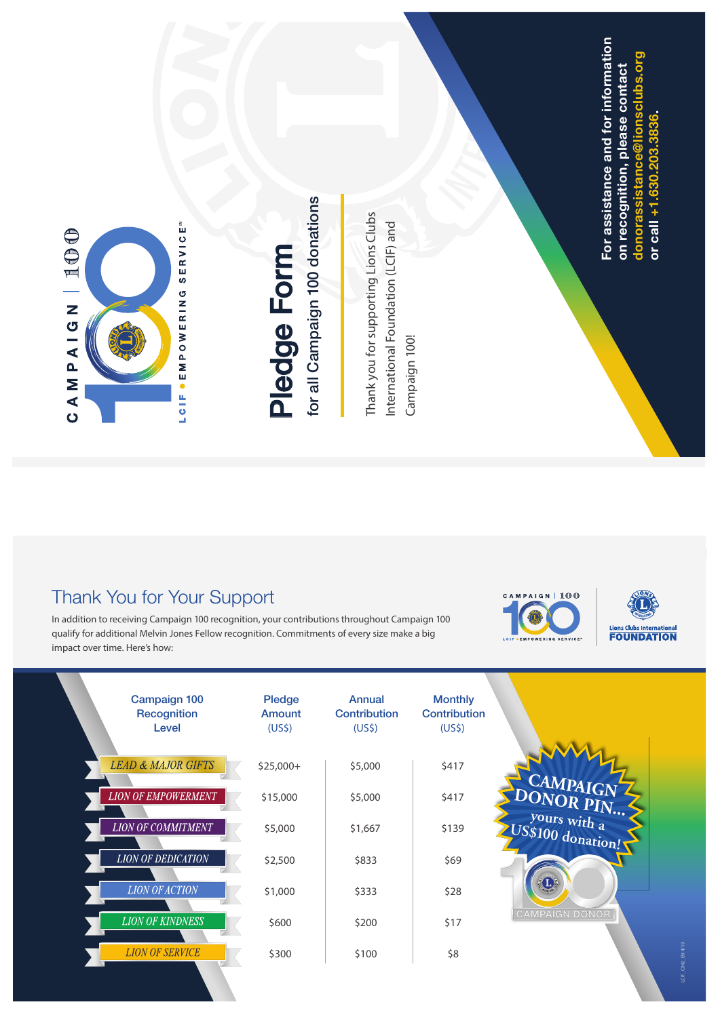

# **P**<u>ወ</u> **d ge F o r m**

for all Campaign 100 donations **for all Campaign 100 donations**

Thank you for supporting Lions Clubs Thank you for supporting Lions Clubs International Foundation (LCIF) and International Foundation (LCIF) and Campaign 100! Campaign 100! For assistance and for information **For assistance and for information donorassistance@lionsclubs.org** sclubs.org **on recognition, please contact**  on recognition, please contact **or call +1.630.203.3836.**  or call +1.630.203 donorassistan

## Thank You for Your Support

In addition to receiving Campaign 100 recognition, your contributions throughout Campaign 100 qualify for additional Melvin Jones Fellow recognition. Commitments of every size make a big impact over time. Here's how:





| Campaign 100<br><b>Recognition</b><br>Level | <b>Pledge</b><br><b>Amount</b><br>(US <sub>5</sub> ) | Annual<br><b>Contribution</b><br>(US <sub>5</sub> ) | <b>Monthly</b><br>Contribution<br>(US <sub>5</sub> ) |                                   |
|---------------------------------------------|------------------------------------------------------|-----------------------------------------------------|------------------------------------------------------|-----------------------------------|
| <b>LEAD &amp; MAJOR GIFTS</b>               | $$25,000+$                                           | \$5,000                                             | \$417                                                |                                   |
| <b>LION OF EMPOWERMENT</b>                  | \$15,000                                             | \$5,000                                             | \$417                                                | CAMPAIGN<br>DONOR PIN             |
| <b>LION OF COMMITMENT</b>                   | \$5,000                                              | \$1,667                                             | \$139                                                | yours with a<br>US\$100 donation! |
| <b>LION OF DEDICATION</b>                   | \$2,500                                              | \$833                                               | \$69                                                 |                                   |
| <b>LION OF ACTION</b>                       | \$1,000                                              | \$333                                               | \$28                                                 | $\bf{u}$                          |
| <b>LION OF KINDNESS</b>                     | \$600                                                | \$200                                               | \$17                                                 | <b>CAMPAIGN DONOR</b>             |
| <b>LION OF SERVICE</b>                      | \$300                                                | \$100                                               | \$8                                                  |                                   |